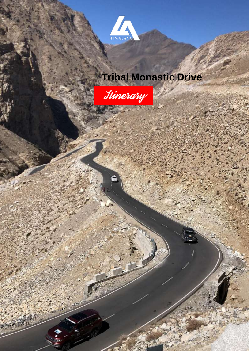

# **Tribal Monastic Drive**

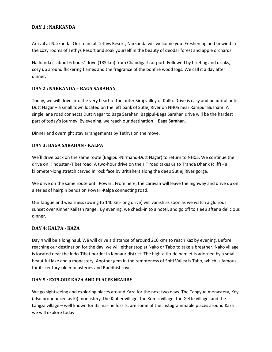## **DAY 1 : NARKANDA**

Arrival at Narkanda. Our team at Tethys Resort, Narkanda will welcome you. Freshen up and unwind in the cozy rooms of Tethys Resort and soak yourself in the beauty of deodar forest and apple orchards.

Narkanda is about 6 hours' drive (185 km) from Chandigarh airport. Followed by briefing and drinks, cozy up around flickering flames and the fragrance of the bonfire wood logs. We call it a day after dinner.

### **DAY 2 : NARKANDA – BAGA SARAHAN**

Today, we will drive into the very heart of the outer Siraj valley of Kullu. Drive is easy and beautiful until Dutt Nagar – a small town located on the left bank of Sutlej River on NH05 near Rampur Bushahr. A single lane road connects Dutt Nagar to Baga Sarahan. Bagipul-Baga Sarahan drive will be the hardest part of today's journey. By evening, we reach our destination – Baga Sarahan.

Dinner and overnight stay arrangements by Tethys on the move.

## **DAY 3: BAGA SARAHAN - KALPA**

We'll drive back on the same route (Bagipul-Nirmand-Dutt Nagar) to return to NH05. We continue the drive on Hindustan-Tibet road. A two-hour drive on the HT road takes us to Tranda Dhank (cliff) - a kilometer-long stretch carved in rock face by Britishers along the deep Sutlej River gorge.

We drive on the same route until Powari. From here, the caravan will leave the highway and drive up on a series of hairpin bends on Powari-Kalpa connecting road.

Our fatigue and weariness (owing to 140 km-long drive) will vanish as soon as we watch a glorious sunset over Kinner Kailash range. By evening, we check-in to a hotel, and go off to sleep after a delicious dinner.

### **DAY 4: KALPA - KAZA**

Day 4 will be a long haul. We will drive a distance of around 210 kms to reach Kaz by evening. Before reaching our destination for the day, we will either stop at Nako or Tabo to take a breather. Nako village is located near the Indo-Tibet border in Kinnaur district. The high-altitude hamlet is adorned by a small, beautiful lake and a monastery. Another gem in the remoteness of Spiti Valley is Tabo, which is famous for its century-old monasteries and Buddhist caves.

### **DAY 5 : EXPLORE KAZA AND PLACES NEARBY**

We go sightseeing and exploring places around Kaza for the next two days. The Tangyud monastery, Key (also pronounced as Ki) monastery, the Kibber village, the Komic village, the Gette village, and the Langza village – well known for its marine fossils, are some of the Instagrammable places around Kaza we will explore today.